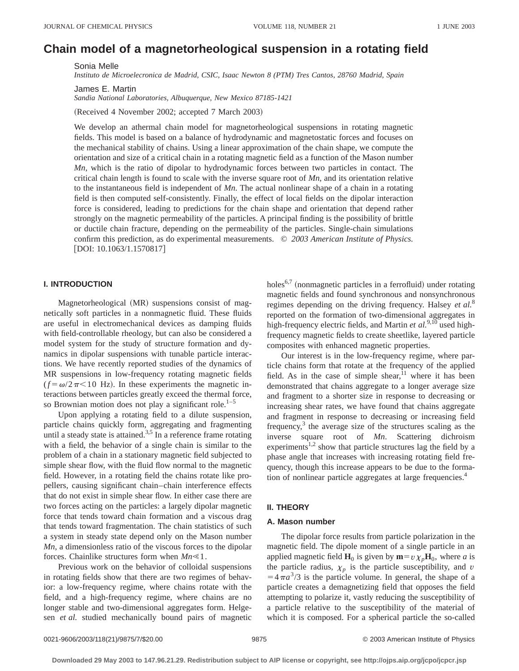# **Chain model of a magnetorheological suspension in a rotating field**

Sonia Melle

*Instituto de Microelecronica de Madrid, CSIC, Isaac Newton 8 (PTM) Tres Cantos, 28760 Madrid, Spain*

James E. Martin

*Sandia National Laboratories, Albuquerque, New Mexico 87185-1421*

(Received 4 November 2002; accepted 7 March 2003)

We develop an athermal chain model for magnetorheological suspensions in rotating magnetic fields. This model is based on a balance of hydrodynamic and magnetostatic forces and focuses on the mechanical stability of chains. Using a linear approximation of the chain shape, we compute the orientation and size of a critical chain in a rotating magnetic field as a function of the Mason number *Mn*, which is the ratio of dipolar to hydrodynamic forces between two particles in contact. The critical chain length is found to scale with the inverse square root of *Mn*, and its orientation relative to the instantaneous field is independent of *Mn*. The actual nonlinear shape of a chain in a rotating field is then computed self-consistently. Finally, the effect of local fields on the dipolar interaction force is considered, leading to predictions for the chain shape and orientation that depend rather strongly on the magnetic permeability of the particles. A principal finding is the possibility of brittle or ductile chain fracture, depending on the permeability of the particles. Single-chain simulations confirm this prediction, as do experimental measurements. © *2003 American Institute of Physics.* [DOI: 10.1063/1.1570817]

## **I. INTRODUCTION**

Magnetorheological (MR) suspensions consist of magnetically soft particles in a nonmagnetic fluid. These fluids are useful in electromechanical devices as damping fluids with field-controllable rheology, but can also be considered a model system for the study of structure formation and dynamics in dipolar suspensions with tunable particle interactions. We have recently reported studies of the dynamics of MR suspensions in low-frequency rotating magnetic fields  $(f = \omega/2 \pi \langle 10 \text{ Hz} \rangle)$ . In these experiments the magnetic interactions between particles greatly exceed the thermal force, so Brownian motion does not play a significant role. $1-5$ 

Upon applying a rotating field to a dilute suspension, particle chains quickly form, aggregating and fragmenting until a steady state is attained. $3,5$  In a reference frame rotating with a field, the behavior of a single chain is similar to the problem of a chain in a stationary magnetic field subjected to simple shear flow, with the fluid flow normal to the magnetic field. However, in a rotating field the chains rotate like propellers, causing significant chain–chain interference effects that do not exist in simple shear flow. In either case there are two forces acting on the particles: a largely dipolar magnetic force that tends toward chain formation and a viscous drag that tends toward fragmentation. The chain statistics of such a system in steady state depend only on the Mason number *Mn*, a dimensionless ratio of the viscous forces to the dipolar forces. Chainlike structures form when  $Mn \leq 1$ .

Previous work on the behavior of colloidal suspensions in rotating fields show that there are two regimes of behavior: a low-frequency regime, where chains rotate with the field, and a high-frequency regime, where chains are no longer stable and two-dimensional aggregates form. Helgesen *et al.* studied mechanically bound pairs of magnetic holes<sup>6,7</sup> (nonmagnetic particles in a ferrofluid) under rotating magnetic fields and found synchronous and nonsynchronous regimes depending on the driving frequency. Halsey *et al.*<sup>8</sup> reported on the formation of two-dimensional aggregates in high-frequency electric fields, and Martin *et al.*<sup>9,10</sup> used highfrequency magnetic fields to create sheetlike, layered particle composites with enhanced magnetic properties.

Our interest is in the low-frequency regime, where particle chains form that rotate at the frequency of the applied field. As in the case of simple shear, $11$  where it has been demonstrated that chains aggregate to a longer average size and fragment to a shorter size in response to decreasing or increasing shear rates, we have found that chains aggregate and fragment in response to decreasing or increasing field frequency, $3$  the average size of the structures scaling as the inverse square root of *Mn*. Scattering dichroism experiments<sup>1,2</sup> show that particle structures lag the field by a phase angle that increases with increasing rotating field frequency, though this increase appears to be due to the formation of nonlinear particle aggregates at large frequencies.<sup>4</sup>

#### **II. THEORY**

#### **A. Mason number**

The dipolar force results from particle polarization in the magnetic field. The dipole moment of a single particle in an applied magnetic field  $H_0$  is given by  $m = v \chi_p H_0$ , where *a* is the particle radius,  $\chi_p$  is the particle susceptibility, and *v*  $=4\pi a^3/3$  is the particle volume. In general, the shape of a particle creates a demagnetizing field that opposes the field attempting to polarize it, vastly reducing the susceptibility of a particle relative to the susceptibility of the material of which it is composed. For a spherical particle the so-called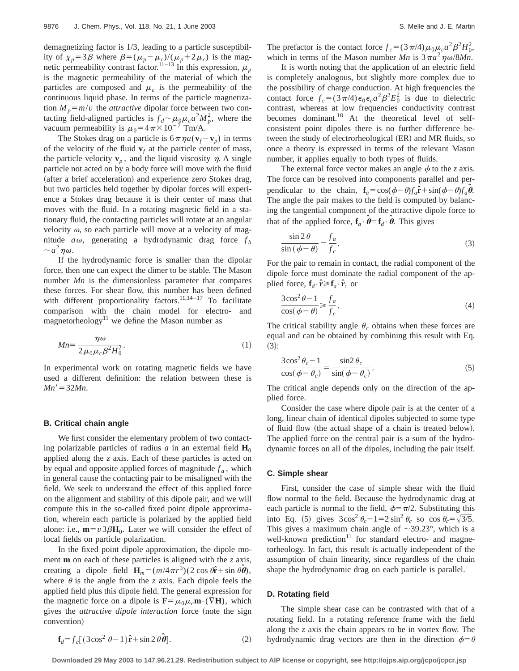demagnetizing factor is 1/3, leading to a particle susceptibility of  $\chi_p = 3\beta$  where  $\beta = (\mu_p - \mu_c)/(\mu_p + 2\mu_c)$  is the magnetic permeability contrast factor.<sup>11–13</sup> In this expression,  $\mu_p$ is the magnetic permeability of the material of which the particles are composed and  $\mu_c$  is the permeability of the continuous liquid phase. In terms of the particle magnetization  $M_p = m/v$  the *attractive* dipolar force between two contacting field-aligned particles is  $f_d \sim \mu_0 \mu_c a^2 M_p^2$ , where the vacuum permeability is  $\mu_0 = 4 \pi \times 10^{-7}$  Tm/A.

The Stokes drag on a particle is  $6\pi \eta a(\mathbf{v}_f - \mathbf{v}_p)$  in terms of the velocity of the fluid  $\mathbf{v}_f$  at the particle center of mass, the particle velocity  $\mathbf{v}_p$ , and the liquid viscosity  $\eta$ . A single particle not acted on by a body force will move with the fluid (after a brief acceleration) and experience zero Stokes drag, but two particles held together by dipolar forces will experience a Stokes drag because it is their center of mass that moves with the fluid. In a rotating magnetic field in a stationary fluid, the contacting particles will rotate at an angular velocity  $\omega$ , so each particle will move at a velocity of magnitude  $a\omega$ , generating a hydrodynamic drag force  $f_h$  $\sim a^2\eta\omega$ .

If the hydrodynamic force is smaller than the dipolar force, then one can expect the dimer to be stable. The Mason number *Mn* is the dimensionless parameter that compares these forces. For shear flow, this number has been defined with different proportionality factors.<sup>11,14-17</sup> To facilitate comparison with the chain model for electro- and magnetorheology<sup>11</sup> we define the Mason number as

$$
Mn = \frac{\eta \omega}{2\mu_0 \mu_c \beta^2 H_0^2}.
$$
 (1)

In experimental work on rotating magnetic fields we have used a different definition: the relation between these is  $Mn' = 32Mn$ .

### **B. Critical chain angle**

We first consider the elementary problem of two contacting polarizable particles of radius *a* in an external field  $H_0$ applied along the *z* axis. Each of these particles is acted on by equal and opposite applied forces of magnitude  $f_a$ , which in general cause the contacting pair to be misaligned with the field. We seek to understand the effect of this applied force on the alignment and stability of this dipole pair, and we will compute this in the so-called fixed point dipole approximation, wherein each particle is polarized by the applied field alone: i.e.,  $\mathbf{m} = v \, 3\beta \mathbf{H}_0$ . Later we will consider the effect of local fields on particle polarization.

In the fixed point dipole approximation, the dipole moment **m** on each of these particles is aligned with the *z* axis, creating a dipole field  $\mathbf{H}_m = (m/4\pi r^3)(2 \cos \theta \hat{\mathbf{r}} + \sin \theta \hat{\theta})$ , where  $\theta$  is the angle from the *z* axis. Each dipole feels the applied field plus this dipole field. The general expression for the magnetic force on a dipole is  $\mathbf{F} = \mu_0 \mu_c \mathbf{m} \cdot (\nabla \mathbf{H})$ , which gives the *attractive dipole interaction* force (note the sign convention)

The prefactor is the contact force  $f_c = (3\pi/4)\mu_0\mu_c a^2\beta^2H_0^2$ , which in terms of the Mason number *Mn* is  $3\pi a^2 n\omega/8Mn$ .

It is worth noting that the application of an electric field is completely analogous, but slightly more complex due to the possibility of charge conduction. At high frequencies the contact force  $f_c = (3\pi/4)\epsilon_0 \epsilon_c a^2 \beta^2 E_0^2$  is due to dielectric contrast, whereas at low frequencies conductivity contrast becomes dominant.<sup>18</sup> At the theoretical level of selfconsistent point dipoles there is no further difference between the study of electrorheological (ER) and MR fluids, so once a theory is expressed in terms of the relevant Mason number, it applies equally to both types of fluids.

The external force vector makes an angle  $\phi$  to the *z* axis. The force can be resolved into components parallel and perpendicular to the chain,  $\mathbf{f}_a = \cos(\phi - \theta) f_a \hat{\mathbf{r}} + \sin(\phi - \theta) f_a \hat{\theta}$ . The angle the pair makes to the field is computed by balancing the tangential component of the attractive dipole force to that of the applied force,  $\mathbf{f}_a \cdot \hat{\boldsymbol{\theta}} = \mathbf{f}_d \cdot \hat{\boldsymbol{\theta}}$ . This gives

$$
\frac{\sin 2\theta}{\sin \left(\phi - \theta\right)} = \frac{f_a}{f_c}.\tag{3}
$$

For the pair to remain in contact, the radial component of the dipole force must dominate the radial component of the applied force,  $\mathbf{f}_d \cdot \hat{\mathbf{r}} \ge \mathbf{f}_a \cdot \hat{\mathbf{r}}$ , or

$$
\frac{3\cos^2\theta - 1}{\cos(\phi - \theta)} \ge \frac{f_a}{f_c}.\tag{4}
$$

The critical stability angle  $\theta_c$  obtains when these forces are equal and can be obtained by combining this result with Eq.  $(3):$ 

$$
\frac{3\cos^2\theta_c - 1}{\cos(\phi - \theta_c)} = \frac{\sin 2\theta_c}{\sin(\phi - \theta_c)}.
$$
\n(5)

The critical angle depends only on the direction of the applied force.

Consider the case where dipole pair is at the center of a long, linear chain of identical dipoles subjected to some type of fluid flow (the actual shape of a chain is treated below). The applied force on the central pair is a sum of the hydrodynamic forces on all of the dipoles, including the pair itself.

# **C. Simple shear**

First, consider the case of simple shear with the fluid flow normal to the field. Because the hydrodynamic drag at each particle is normal to the field,  $\phi = \pi/2$ . Substituting this into Eq. (5) gives  $3\cos^2\theta_c - 1 = 2\sin^2\theta_c$  so  $\cos\theta_c = \sqrt{3}/5$ . This gives a maximum chain angle of  $\sim$ 39.23°, which is a well-known prediction<sup>11</sup> for standard electro- and magnetorheology. In fact, this result is actually independent of the assumption of chain linearity, since regardless of the chain shape the hydrodynamic drag on each particle is parallel.

# **D. Rotating field**

The simple shear case can be contrasted with that of a rotating field. In a rotating reference frame with the field along the *z* axis the chain appears to be in vortex flow. The hydrodynamic drag vectors are then in the direction  $\phi = \theta$ 

$$
\mathbf{f}_d = f_c[(3\cos^2\theta - 1)\hat{\mathbf{r}} + \sin 2\theta \hat{\boldsymbol{\theta}}].
$$
 (2)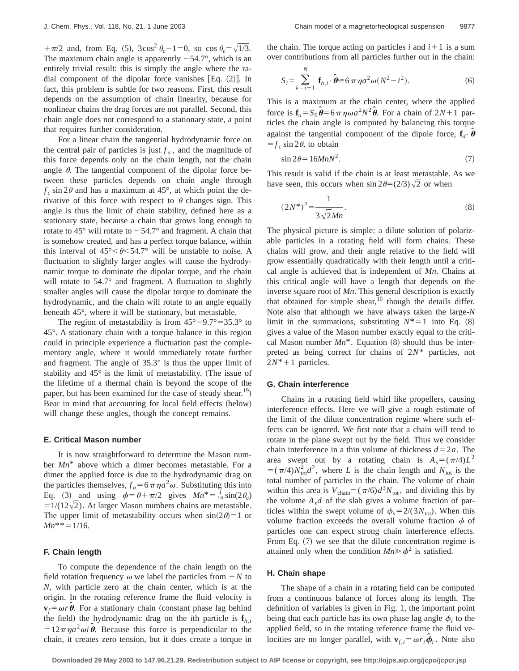$+\pi/2$  and, from Eq. (5),  $3\cos^2{\theta_c} - 1 = 0$ , so  $\cos{\theta_c} = \sqrt{1/3}$ . The maximum chain angle is apparently  $\sim$  54.7°, which is an entirely trivial result: this is simply the angle where the radial component of the dipolar force vanishes  $[Eq. (2)].$  In fact, this problem is subtle for two reasons. First, this result depends on the assumption of chain linearity, because for nonlinear chains the drag forces are not parallel. Second, this chain angle does not correspond to a stationary state, a point that requires further consideration.

For a linear chain the tangential hydrodynamic force on the central pair of particles is just  $f_a$ , and the magnitude of this force depends only on the chain length, not the chain angle  $\theta$ . The tangential component of the dipolar force between these particles depends on chain angle through  $f_c$  sin 2 $\theta$  and has a maximum at 45°, at which point the derivative of this force with respect to  $\theta$  changes sign. This angle is thus the limit of chain stability, defined here as a stationary state, because a chain that grows long enough to rotate to  $45^{\circ}$  will rotate to  $\sim$  54.7° and fragment. A chain that is somehow created, and has a perfect torque balance, within this interval of  $45^{\circ} < \theta < 54.7^{\circ}$  will be unstable to noise. A fluctuation to slightly larger angles will cause the hydrodynamic torque to dominate the dipolar torque, and the chain will rotate to 54.7° and fragment. A fluctuation to slightly smaller angles will cause the dipolar torque to dominate the hydrodynamic, and the chain will rotate to an angle equally beneath 45°, where it will be stationary, but metastable.

The region of metastability is from  $45^{\circ} - 9.7^{\circ} = 35.3^{\circ}$  to 45°. A stationary chain with a torque balance in this region could in principle experience a fluctuation past the complementary angle, where it would immediately rotate further and fragment. The angle of 35.3° is thus the upper limit of stability and  $45^\circ$  is the limit of metastability. (The issue of the lifetime of a thermal chain is beyond the scope of the paper, but has been examined for the case of steady shear.<sup>19</sup>) Bear in mind that accounting for local field effects (below) will change these angles, though the concept remains.

#### **E. Critical Mason number**

It is now straightforward to determine the Mason number *Mn*\* above which a dimer becomes metastable. For a dimer the applied force is due to the hydrodynamic drag on the particles themselves,  $f_a = 6\pi\eta a^2\omega$ . Substituting this into Eq. (3) and using  $\phi = \theta + \pi/2$  gives  $Mn^* = \frac{1}{16} \sin(2\theta_c)$  $=1/(12\sqrt{2})$ . At larger Mason numbers chains are metastable. The upper limit of metastability occurs when  $sin(2\theta)=1$  or  $Mn^{**}=1/16$ .

#### **F. Chain length**

To compute the dependence of the chain length on the field rotation frequency  $\omega$  we label the particles from  $-N$  to *N*, with particle zero at the chain center, which is at the origin. In the rotating reference frame the fluid velocity is  $\mathbf{v}_f = \omega r \hat{\boldsymbol{\theta}}$ . For a stationary chain (constant phase lag behind the field) the hydrodynamic drag on the *i*th particle is  $f_{h,i}$  $=12\pi\eta a^2\omega i\hat{\theta}$ . Because this force is perpendicular to the chain, it creates zero tension, but it does create a torque in the chain. The torque acting on particles  $i$  and  $i+1$  is a sum over contributions from all particles further out in the chain:

$$
S_i = \sum_{k=i+1}^{N} \mathbf{f}_{h,i} \cdot \hat{\boldsymbol{\theta}} \cong 6 \pi \eta a^2 \omega (N^2 - i^2).
$$
 (6)

This is a maximum at the chain center, where the applied force is  $\mathbf{f}_a = S_0 \hat{\boldsymbol{\theta}} = 6 \pi \eta \omega a^2 N^2 \hat{\boldsymbol{\theta}}$ . For a chain of  $2N+1$  particles the chain angle is computed by balancing this torque against the tangential component of the dipole force,  $\mathbf{f}_d \cdot \hat{\boldsymbol{\theta}}$  $=f_c \sin 2\theta$ , to obtain

$$
\sin 2\theta = 16MnN^2. \tag{7}
$$

This result is valid if the chain is at least metastable. As we have seen, this occurs when  $\sin 2\theta = (2/3)\sqrt{2}$  or when

$$
(2N^*)^2 = \frac{1}{3\sqrt{2}Mn}.
$$
 (8)

The physical picture is simple: a dilute solution of polarizable particles in a rotating field will form chains. These chains will grow, and their angle relative to the field will grow essentially quadratically with their length until a critical angle is achieved that is independent of *Mn*. Chains at this critical angle will have a length that depends on the inverse square root of *Mn*. This general description is exactly that obtained for simple shear, $10$  though the details differ. Note also that although we have always taken the large-*N* limit in the summations, substituting  $N^* = 1$  into Eq.  $(8)$ gives a value of the Mason number exactly equal to the critical Mason number  $Mn^*$ . Equation  $(8)$  should thus be interpreted as being correct for chains of 2*N*\* particles, not  $2N^*+1$  particles.

#### **G. Chain interference**

Chains in a rotating field whirl like propellers, causing interference effects. Here we will give a rough estimate of the limit of the dilute concentration regime where such effects can be ignored. We first note that a chain will tend to rotate in the plane swept out by the field. Thus we consider chain interference in a thin volume of thickness  $d=2a$ . The area swept out by a rotating chain is  $A_s = (\pi/4)L^2$  $= (\pi/4)N_{\text{tot}}^2 d^2$ , where *L* is the chain length and  $N_{\text{tot}}$  is the total number of particles in the chain. The volume of chain within this area is  $V_{chain} = (\pi/6)d^3N_{tot}$ , and dividing this by the volume *Asd* of the slab gives a volume fraction of particles within the swept volume of  $\phi_s = 2/(3N_{\text{tot}})$ . When this volume fraction exceeds the overall volume fraction  $\phi$  of particles one can expect strong chain interference effects. From Eq.  $(7)$  we see that the dilute concentration regime is attained only when the condition  $Mn \ge \phi^2$  is satisfied.

#### **H. Chain shape**

The shape of a chain in a rotating field can be computed from a continuous balance of forces along its length. The definition of variables is given in Fig. 1, the important point being that each particle has its own phase lag angle  $\phi_i$  to the applied field, so in the rotating reference frame the fluid velocities are no longer parallel, with  $\mathbf{v}_{f,i} = \omega r_i \phi_i$ . Note also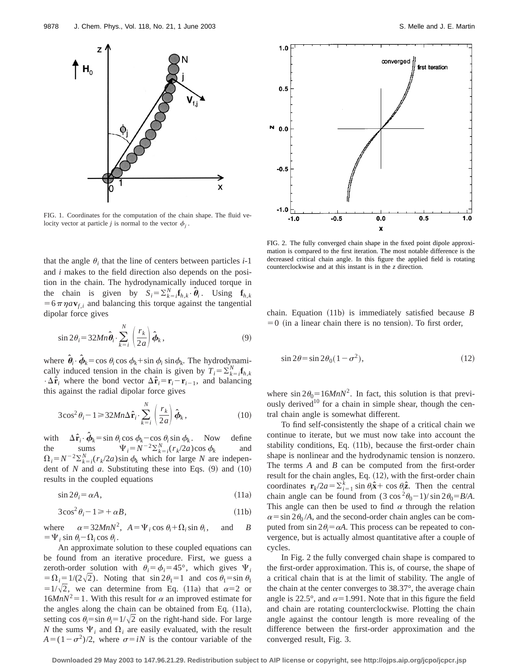

FIG. 1. Coordinates for the computation of the chain shape. The fluid velocity vector at particle *j* is normal to the vector  $\phi_i$ .

that the angle  $\theta_i$  that the line of centers between particles *i*-1 and *i* makes to the field direction also depends on the position in the chain. The hydrodynamically induced torque in the chain is given by  $S_i = \sum_{k=i}^{N} \mathbf{f}_{h,k} \cdot \hat{\boldsymbol{\theta}}_i$ . Using  $\mathbf{f}_{h,k}$  $=6\pi\eta a\mathbf{v}_{f,i}$  and balancing this torque against the tangential dipolar force gives

$$
\sin 2\theta_i = 32Mn\hat{\boldsymbol{\theta}}_i \cdot \sum_{k=i}^N \left(\frac{r_k}{2a}\right) \hat{\boldsymbol{\phi}}_k, \qquad (9)
$$

where  $\hat{\theta}_i \cdot \hat{\phi}_k = \cos \theta_i \cos \phi_k + \sin \phi_i \sin \phi_k$ . The hydrodynamically induced tension in the chain is given by  $T_i = \sum_{k=1}^{N} f_{h,k}$  $\cdot \Delta \hat{\mathbf{r}}_i$  where the bond vector  $\Delta \hat{\mathbf{r}}_i = \mathbf{r}_i - \mathbf{r}_{i-1}$ , and balancing this against the radial dipolar force gives

$$
3\cos^2\theta_i - 1 \ge 32Mn\Delta\hat{\mathbf{r}}_i \cdot \sum_{k=i}^N \left(\frac{r_k}{2a}\right)\hat{\boldsymbol{\phi}}_k, \tag{10}
$$

with  $\Delta \hat{\mathbf{r}}_i \cdot \hat{\boldsymbol{\phi}}_k = \sin \theta_i \cos \phi_k - \cos \theta_i \sin \phi_k$ . Now define the sums  $\Psi_i = N^{-2} \sum_{k=i}^{N} (r_k/2a) \cos \phi_k$  and  $\Omega_i = N^{-2} \sum_{k=i}^{N} (r_k/2a) \sin \phi_k$  which for large *N* are independent of  $N$  and  $a$ . Substituting these into Eqs.  $(9)$  and  $(10)$ results in the coupled equations

$$
\sin 2\theta_i = \alpha A, \tag{11a}
$$

$$
3\cos^2\theta_i - 1 \geq \alpha B,\tag{11b}
$$

where  $\alpha = 32MnN^2$ ,  $A = \Psi_i \cos \theta_i + \Omega_i \sin \theta_i$ , and *B*  $=\Psi_i \sin \theta_i - \Omega_i \cos \theta_i$ .

An approximate solution to these coupled equations can be found from an iterative procedure. First, we guess a zeroth-order solution with  $\theta_i = \phi_i = 45^\circ$ , which gives  $\Psi_i$  $= \Omega_i = 1/(2\sqrt{2})$ . Noting that  $\sin 2\theta_1 = 1$  and  $\cos \theta_1 = \sin \theta_1$  $=1/\sqrt{2}$ , we can determine from Eq. (11a) that  $\alpha=2$  or  $16MnN^2 = 1$ . With this result for  $\alpha$  an improved estimate for the angles along the chain can be obtained from Eq.  $(11a)$ , setting  $\cos \theta_i = \sin \theta_i = 1/\sqrt{2}$  on the right-hand side. For large *N* the sums  $\Psi_i$  and  $\Omega_i$  are easily evaluated, with the result  $A=(1-\sigma^2)/2$ , where  $\sigma=iN$  is the contour variable of the



FIG. 2. The fully converged chain shape in the fixed point dipole approximation is compared to the first iteration. The most notable difference is the decreased critical chain angle. In this figure the applied field is rotating counterclockwise and at this instant is in the *z* direction.

chain. Equation  $(11b)$  is immediately satisfied because *B*  $=0$  (in a linear chain there is no tension). To first order,

$$
\sin 2\theta = \sin 2\theta_0 (1 - \sigma^2),\tag{12}
$$

where  $\sin 2\theta_0 = 16MnN^2$ . In fact, this solution is that previously derived<sup>10</sup> for a chain in simple shear, though the central chain angle is somewhat different.

To find self-consistently the shape of a critical chain we continue to iterate, but we must now take into account the stability conditions, Eq.  $(11b)$ , because the first-order chain shape is nonlinear and the hydrodynamic tension is nonzero. The terms *A* and *B* can be computed from the first-order result for the chain angles, Eq. (12), with the first-order chain coordinates  $\mathbf{r}_k/2a = \sum_{i=1}^k \sin \theta_i \hat{\mathbf{x}} + \cos \theta_i \hat{\mathbf{z}}$ . Then the central chain angle can be found from  $(3 \cos^2 \theta_0 - 1)/ \sin 2\theta_0 = B/A$ . This angle can then be used to find  $\alpha$  through the relation  $\alpha = \sin 2\theta_0 / A$ , and the second-order chain angles can be computed from  $\sin 2\theta_i = \alpha A$ . This process can be repeated to convergence, but is actually almost quantitative after a couple of cycles.

In Fig. 2 the fully converged chain shape is compared to the first-order approximation. This is, of course, the shape of a critical chain that is at the limit of stability. The angle of the chain at the center converges to 38.37°, the average chain angle is 22.5°, and  $\alpha$ =1.991. Note that in this figure the field and chain are rotating counterclockwise. Plotting the chain angle against the contour length is more revealing of the difference between the first-order approximation and the converged result, Fig. 3.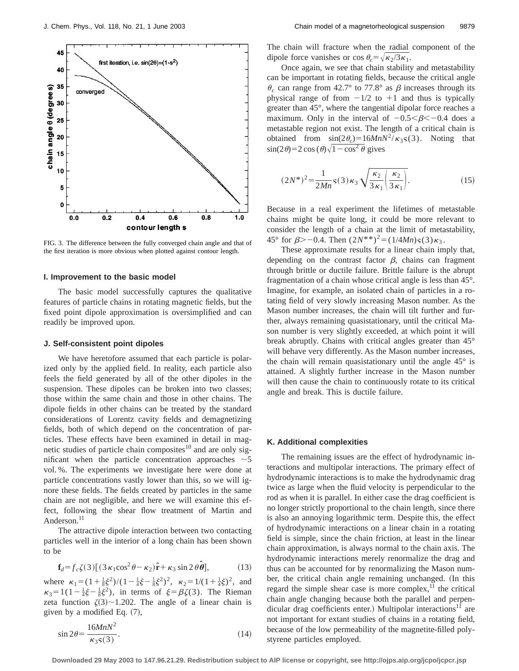

FIG. 3. The difference between the fully converged chain angle and that of the first iteration is more obvious when plotted against contour length.

#### **I. Improvement to the basic model**

The basic model successfully captures the qualitative features of particle chains in rotating magnetic fields, but the fixed point dipole approximation is oversimplified and can readily be improved upon.

#### **J. Self-consistent point dipoles**

We have heretofore assumed that each particle is polarized only by the applied field. In reality, each particle also feels the field generated by all of the other dipoles in the suspension. These dipoles can be broken into two classes; those within the same chain and those in other chains. The dipole fields in other chains can be treated by the standard considerations of Lorentz cavity fields and demagnetizing fields, both of which depend on the concentration of particles. These effects have been examined in detail in magnetic studies of particle chain composites $10$  and are only significant when the particle concentration approaches  $\sim$  5 vol. %. The experiments we investigate here were done at particle concentrations vastly lower than this, so we will ignore these fields. The fields created by particles in the same chain are not negligible, and here we will examine this effect, following the shear flow treatment of Martin and Anderson.<sup>11</sup>

The attractive dipole interaction between two contacting particles well in the interior of a long chain has been shown to be

$$
\mathbf{f}_d = f_c \zeta(3) \left[ (3\kappa_1 \cos^2 \theta - \kappa_2) \hat{\mathbf{r}} + \kappa_3 \sin 2\theta \hat{\boldsymbol{\theta}} \right],\tag{13}
$$

where  $\kappa_1 = (1 + \frac{1}{8}\xi^2)/(1 - \frac{1}{4}\xi - \frac{1}{8}\xi^2)^2$ ,  $\kappa_2 = 1/(1 + \frac{1}{4}\xi)^2$ , and  $\kappa_3=1(1-\frac{1}{4}\xi-\frac{1}{8}\xi^2)$ , in terms of  $\xi=\beta\zeta(3)$ . The Rieman zeta function  $\zeta(3)$  - 1.202. The angle of a linear chain is given by a modified Eq.  $(7)$ ,

$$
\sin 2\theta = \frac{16MnN^2}{\kappa_3 s(3)}.
$$
\n(14)

The chain will fracture when the radial component of the dipole force vanishes or cos  $\theta_c = \sqrt{\kappa_2/3\kappa_1}$ .

Once again, we see that chain stability and metastability can be important in rotating fields, because the critical angle  $\theta_c$  can range from 42.7° to 77.8° as  $\beta$  increases through its physical range of from  $-1/2$  to  $+1$  and thus is typically greater than 45°, where the tangential dipolar force reaches a maximum. Only in the interval of  $-0.5<\beta<-0.4$  does a metastable region not exist. The length of a critical chain is obtained from  $sin(2\theta_c) = 16MnN^2/\kappa_3s(3)$ . Noting that  $\sin(2\theta) = 2 \cos(\theta) \sqrt{1-\cos^2 \theta}$  gives

$$
(2N^*)^2 = \frac{1}{2Mn} \mathsf{s}(3) \kappa_3 \sqrt{\frac{\kappa_2}{3\kappa_1} \left(\frac{\kappa_2}{3\kappa_1}\right)}.
$$
 (15)

Because in a real experiment the lifetimes of metastable chains might be quite long, it could be more relevant to consider the length of a chain at the limit of metastability, 45° for  $\beta$ >-0.4. Then  $(2N^*)^2 = (1/4Mn)$ s $(3)\kappa_3$ .

These approximate results for a linear chain imply that, depending on the contrast factor  $\beta$ , chains can fragment through brittle or ductile failure. Brittle failure is the abrupt fragmentation of a chain whose critical angle is less than 45°. Imagine, for example, an isolated chain of particles in a rotating field of very slowly increasing Mason number. As the Mason number increases, the chain will tilt further and further, always remaining quasistationary, until the critical Mason number is very slightly exceeded, at which point it will break abruptly. Chains with critical angles greater than 45° will behave very differently. As the Mason number increases, the chain will remain quasistationary until the angle 45° is attained. A slightly further increase in the Mason number will then cause the chain to continuously rotate to its critical angle and break. This is ductile failure.

### **K. Additional complexities**

The remaining issues are the effect of hydrodynamic interactions and multipolar interactions. The primary effect of hydrodynamic interactions is to make the hydrodynamic drag twice as large when the fluid velocity is perpendicular to the rod as when it is parallel. In either case the drag coefficient is no longer strictly proportional to the chain length, since there is also an annoying logarithmic term. Despite this, the effect of hydrodynamic interactions on a linear chain in a rotating field is simple, since the chain friction, at least in the linear chain approximation, is always normal to the chain axis. The hydrodynamic interactions merely renormalize the drag and thus can be accounted for by renormalizing the Mason number, the critical chain angle remaining unchanged. (In this regard the simple shear case is more complex, $^{11}$  the critical chain angle changing because both the parallel and perpendicular drag coefficients enter.) Multipolar interactions<sup>11</sup> are not important for extant studies of chains in a rotating field, because of the low permeability of the magnetite-filled polystyrene particles employed.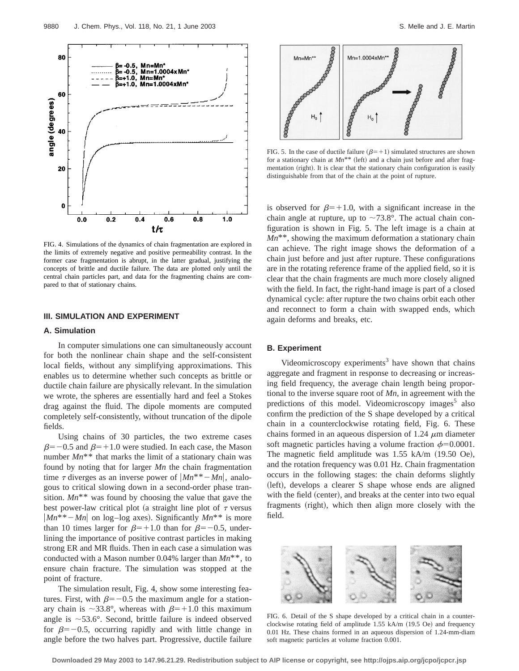

FIG. 4. Simulations of the dynamics of chain fragmentation are explored in the limits of extremely negative and positive permeability contrast. In the former case fragmentation is abrupt, in the latter gradual, justifying the concepts of brittle and ductile failure. The data are plotted only until the central chain particles part, and data for the fragmenting chains are compared to that of stationary chains.

## **III. SIMULATION AND EXPERIMENT**

#### **A. Simulation**

In computer simulations one can simultaneously account for both the nonlinear chain shape and the self-consistent local fields, without any simplifying approximations. This enables us to determine whether such concepts as brittle or ductile chain failure are physically relevant. In the simulation we wrote, the spheres are essentially hard and feel a Stokes drag against the fluid. The dipole moments are computed completely self-consistently, without truncation of the dipole fields.

Using chains of 30 particles, the two extreme cases  $\beta$ = -0.5 and  $\beta$ = +1.0 were studied. In each case, the Mason number *Mn*\*\* that marks the limit of a stationary chain was found by noting that for larger *Mn* the chain fragmentation time  $\tau$  diverges as an inverse power of  $|Mn^{**} - Mn|$ , analogous to critical slowing down in a second-order phase transition. *Mn*\*\* was found by choosing the value that gave the best power-law critical plot (a straight line plot of  $\tau$  versus  $|Mn^{**} - Mn|$  on log–log axes). Significantly  $Mn^{**}$  is more than 10 times larger for  $\beta=+1.0$  than for  $\beta=-0.5$ , underlining the importance of positive contrast particles in making strong ER and MR fluids. Then in each case a simulation was conducted with a Mason number 0.04% larger than *Mn*\*\*, to ensure chain fracture. The simulation was stopped at the point of fracture.

The simulation result, Fig. 4, show some interesting features. First, with  $\beta$ = -0.5 the maximum angle for a stationary chain is  $\sim$ 33.8°, whereas with  $\beta$ = +1.0 this maximum angle is  $\sim$  53.6°. Second, brittle failure is indeed observed for  $\beta = -0.5$ , occurring rapidly and with little change in angle before the two halves part. Progressive, ductile failure



FIG. 5. In the case of ductile failure  $(\beta=+1)$  simulated structures are shown for a stationary chain at  $Mn^{**}$  (left) and a chain just before and after fragmentation (right). It is clear that the stationary chain configuration is easily distinguishable from that of the chain at the point of rupture.

is observed for  $\beta=+1.0$ , with a significant increase in the chain angle at rupture, up to  $\sim$ 73.8°. The actual chain configuration is shown in Fig. 5. The left image is a chain at *Mn*\*\*, showing the maximum deformation a stationary chain can achieve. The right image shows the deformation of a chain just before and just after rupture. These configurations are in the rotating reference frame of the applied field, so it is clear that the chain fragments are much more closely aligned with the field. In fact, the right-hand image is part of a closed dynamical cycle: after rupture the two chains orbit each other and reconnect to form a chain with swapped ends, which again deforms and breaks, etc.

#### **B. Experiment**

Videomicroscopy experiments $3$  have shown that chains aggregate and fragment in response to decreasing or increasing field frequency, the average chain length being proportional to the inverse square root of *Mn*, in agreement with the predictions of this model. Videomicroscopy images<sup>5</sup> also confirm the prediction of the S shape developed by a critical chain in a counterclockwise rotating field, Fig. 6. These chains formed in an aqueous dispersion of 1.24  $\mu$ m diameter soft magnetic particles having a volume fraction  $\phi$ =0.0001. The magnetic field amplitude was  $1.55$  kA/m  $(19.50 \text{ Oe})$ , and the rotation frequency was 0.01 Hz. Chain fragmentation occurs in the following stages: the chain deforms slightly (left), develops a clearer S shape whose ends are aligned with the field (center), and breaks at the center into two equal fragments (right), which then align more closely with the field.



FIG. 6. Detail of the S shape developed by a critical chain in a counterclockwise rotating field of amplitude  $1.55$  kA/m (19.5 Oe) and frequency 0.01 Hz. These chains formed in an aqueous dispersion of 1.24-mm-diam soft magnetic particles at volume fraction 0.001.